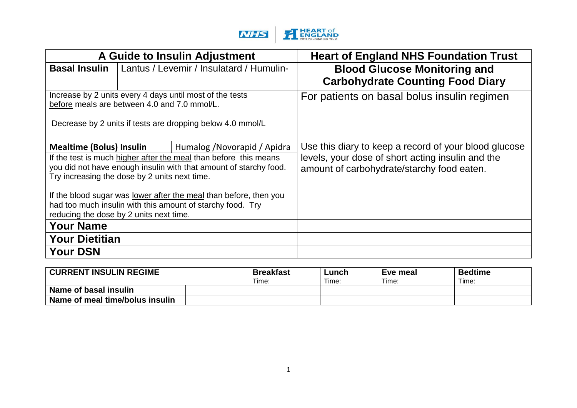

|                                                                                                                                                                            |  | A Guide to Insulin Adjustment                                                                                                                                         | <b>Heart of England NHS Foundation Trust</b>                                                                                                             |  |  |  |
|----------------------------------------------------------------------------------------------------------------------------------------------------------------------------|--|-----------------------------------------------------------------------------------------------------------------------------------------------------------------------|----------------------------------------------------------------------------------------------------------------------------------------------------------|--|--|--|
| <b>Basal Insulin</b>                                                                                                                                                       |  | Lantus / Levemir / Insulatard / Humulin-                                                                                                                              | <b>Blood Glucose Monitoring and</b><br><b>Carbohydrate Counting Food Diary</b>                                                                           |  |  |  |
| before meals are between 4.0 and 7.0 mmol/L.                                                                                                                               |  | Increase by 2 units every 4 days until most of the tests<br>Decrease by 2 units if tests are dropping below 4.0 mmol/L                                                | For patients on basal bolus insulin regimen                                                                                                              |  |  |  |
| <b>Mealtime (Bolus) Insulin</b><br>Try increasing the dose by 2 units next time.                                                                                           |  | Humalog / Novorapid / Apidra<br>If the test is much higher after the meal than before this means<br>you did not have enough insulin with that amount of starchy food. | Use this diary to keep a record of your blood glucose<br>levels, your dose of short acting insulin and the<br>amount of carbohydrate/starchy food eaten. |  |  |  |
| If the blood sugar was lower after the meal than before, then you<br>had too much insulin with this amount of starchy food. Try<br>reducing the dose by 2 units next time. |  |                                                                                                                                                                       |                                                                                                                                                          |  |  |  |
| <b>Your Name</b>                                                                                                                                                           |  |                                                                                                                                                                       |                                                                                                                                                          |  |  |  |
| <b>Your Dietitian</b>                                                                                                                                                      |  |                                                                                                                                                                       |                                                                                                                                                          |  |  |  |
| <b>Your DSN</b>                                                                                                                                                            |  |                                                                                                                                                                       |                                                                                                                                                          |  |  |  |

| <b>CURRENT INSULIN REGIME</b>   | <b>Breakfast</b> | Lunch | Eve meal | <b>Bedtime</b> |
|---------------------------------|------------------|-------|----------|----------------|
|                                 | Time:            | Time: | Time:    | Time:          |
| Name of basal insulin           |                  |       |          |                |
| Name of meal time/bolus insulin |                  |       |          |                |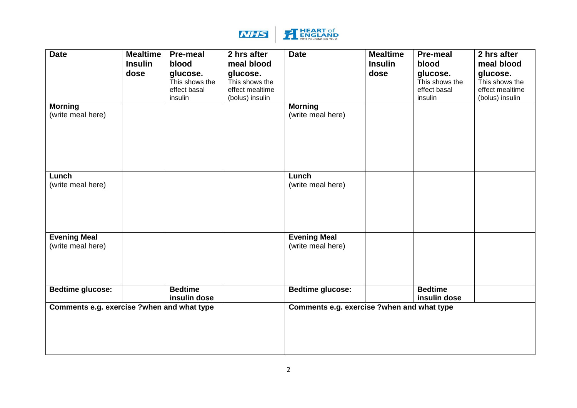

| <b>Date</b><br><b>Morning</b><br>(write meal here) | <b>Mealtime</b><br><b>Insulin</b><br>dose | <b>Pre-meal</b><br>blood<br>glucose.<br>This shows the<br>effect basal<br>insulin | 2 hrs after<br>meal blood<br>glucose.<br>This shows the<br>effect mealtime<br>(bolus) insulin | <b>Date</b><br><b>Morning</b><br>(write meal here) | <b>Mealtime</b><br><b>Insulin</b><br>dose | <b>Pre-meal</b><br>blood<br>glucose.<br>This shows the<br>effect basal<br>insulin | 2 hrs after<br>meal blood<br>glucose.<br>This shows the<br>effect mealtime<br>(bolus) insulin |
|----------------------------------------------------|-------------------------------------------|-----------------------------------------------------------------------------------|-----------------------------------------------------------------------------------------------|----------------------------------------------------|-------------------------------------------|-----------------------------------------------------------------------------------|-----------------------------------------------------------------------------------------------|
|                                                    |                                           |                                                                                   |                                                                                               |                                                    |                                           |                                                                                   |                                                                                               |
| Lunch<br>(write meal here)                         |                                           |                                                                                   |                                                                                               | Lunch<br>(write meal here)                         |                                           |                                                                                   |                                                                                               |
| <b>Evening Meal</b><br>(write meal here)           |                                           |                                                                                   |                                                                                               | <b>Evening Meal</b><br>(write meal here)           |                                           |                                                                                   |                                                                                               |
| <b>Bedtime glucose:</b>                            |                                           | <b>Bedtime</b><br>insulin dose                                                    |                                                                                               | <b>Bedtime glucose:</b>                            |                                           | <b>Bedtime</b><br>insulin dose                                                    |                                                                                               |
| Comments e.g. exercise ?when and what type         |                                           |                                                                                   |                                                                                               | Comments e.g. exercise ?when and what type         |                                           |                                                                                   |                                                                                               |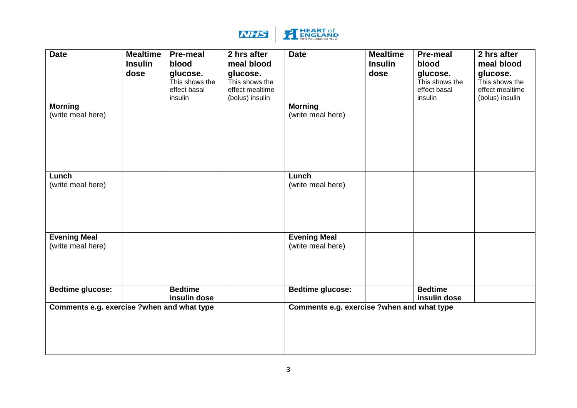

| <b>Date</b><br><b>Morning</b><br>(write meal here)                    | <b>Mealtime</b><br><b>Insulin</b><br>dose | <b>Pre-meal</b><br>blood<br>glucose.<br>This shows the<br>effect basal<br>insulin | 2 hrs after<br>meal blood<br>glucose.<br>This shows the<br>effect mealtime<br>(bolus) insulin | <b>Date</b><br><b>Morning</b><br>(write meal here)                    | <b>Mealtime</b><br><b>Insulin</b><br>dose | <b>Pre-meal</b><br>blood<br>glucose.<br>This shows the<br>effect basal<br>insulin | 2 hrs after<br>meal blood<br>glucose.<br>This shows the<br>effect mealtime<br>(bolus) insulin |
|-----------------------------------------------------------------------|-------------------------------------------|-----------------------------------------------------------------------------------|-----------------------------------------------------------------------------------------------|-----------------------------------------------------------------------|-------------------------------------------|-----------------------------------------------------------------------------------|-----------------------------------------------------------------------------------------------|
| Lunch<br>(write meal here)                                            |                                           |                                                                                   |                                                                                               | Lunch<br>(write meal here)                                            |                                           |                                                                                   |                                                                                               |
| <b>Evening Meal</b><br>(write meal here)                              |                                           |                                                                                   |                                                                                               | <b>Evening Meal</b><br>(write meal here)                              |                                           |                                                                                   |                                                                                               |
| <b>Bedtime glucose:</b><br>Comments e.g. exercise ?when and what type |                                           | <b>Bedtime</b><br>insulin dose                                                    |                                                                                               | <b>Bedtime glucose:</b><br>Comments e.g. exercise ?when and what type |                                           | <b>Bedtime</b><br>insulin dose                                                    |                                                                                               |
|                                                                       |                                           |                                                                                   |                                                                                               |                                                                       |                                           |                                                                                   |                                                                                               |